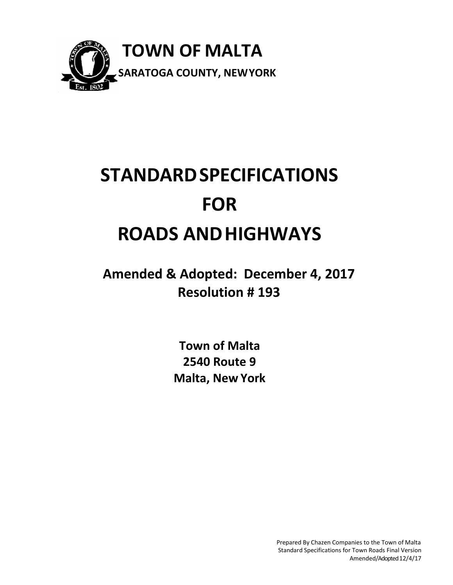

## **STANDARDSPECIFICATIONS FOR ROADS ANDHIGHWAYS**

**Amended & Adopted: December 4, 2017 Resolution # 193**

> **Town of Malta 2540 Route 9 Malta, New York**

> > Prepared By Chazen Companies to the Town of Malta Standard Specifications for Town Roads Final Version Amended/Adopted 12/4/17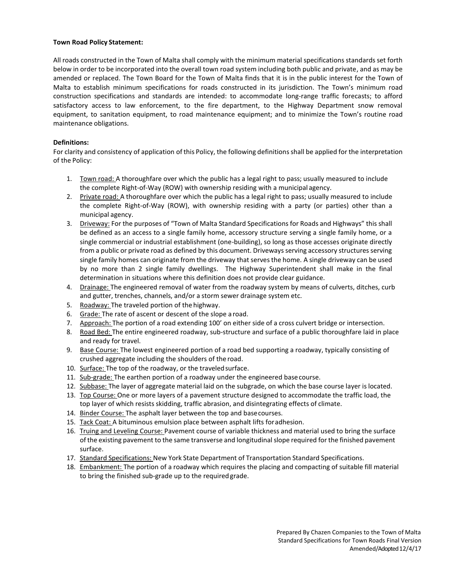#### **Town Road Policy Statement:**

All roads constructed in the Town of Malta shall comply with the minimum material specifications standards set forth below in order to be incorporated into the overall town road system including both public and private, and as may be amended or replaced. The Town Board for the Town of Malta finds that it is in the public interest for the Town of Malta to establish minimum specifications for roads constructed in its jurisdiction. The Town's minimum road construction specifications and standards are intended: to accommodate long‐range traffic forecasts; to afford satisfactory access to law enforcement, to the fire department, to the Highway Department snow removal equipment, to sanitation equipment, to road maintenance equipment; and to minimize the Town's routine road maintenance obligations.

#### **Definitions:**

For clarity and consistency of application of this Policy, the following definitionsshall be applied for the interpretation of the Policy:

- 1. Town road: A thoroughfare over which the public has a legal right to pass; usually measured to include the complete Right‐of‐Way (ROW) with ownership residing with a municipal agency.
- 2. Private road: A thoroughfare over which the public has a legal right to pass; usually measured to include the complete Right‐of‐Way (ROW), with ownership residing with a party (or parties) other than a municipal agency.
- 3. Driveway: For the purposes of "Town of Malta Standard Specifications for Roads and Highways" this shall be defined as an access to a single family home, accessory structure serving a single family home, or a single commercial or industrial establishment (one-building), so long as those accesses originate directly from a public or private road as defined by this document. Driveways serving accessory structures serving single family homes can originate from the driveway that serves the home. A single driveway can be used by no more than 2 single family dwellings. The Highway Superintendent shall make in the final determination in situations where this definition does not provide clear guidance.
- 4. Drainage: The engineered removal of water from the roadway system by means of culverts, ditches, curb and gutter, trenches, channels, and/or a storm sewer drainage system etc.
- 5. Roadway: The traveled portion of the highway.
- 6. Grade: The rate of ascent or descent of the slope a road.
- 7. Approach: The portion of a road extending 100' on either side of a cross culvert bridge or intersection.
- 8. Road Bed: The entire engineered roadway, sub-structure and surface of a public thoroughfare laid in place and ready for travel.
- 9. Base Course: The lowest engineered portion of a road bed supporting a roadway, typically consisting of crushed aggregate including the shoulders of the road.
- 10. Surface: The top of the roadway, or the traveledsurface.
- 11. Sub-grade: The earthen portion of a roadway under the engineered base course.
- 12. Subbase: The layer of aggregate material laid on the subgrade, on which the base course layer is located.
- 13. Top Course: One or more layers of a pavement structure designed to accommodate the traffic load, the top layer of which resists skidding, traffic abrasion, and disintegrating effects of climate.
- 14. Binder Course: The asphalt layer between the top and basecourses.
- 15. Tack Coat: A bituminous emulsion place between asphalt lifts for adhesion.
- 16. Truing and Leveling Course: Pavement course of variable thickness and material used to bring the surface of the existing pavement to the same transverse and longitudinal slope required for the finished pavement surface.
- 17. Standard Specifications: New York State Department of Transportation Standard Specifications.
- 18. Embankment: The portion of a roadway which requires the placing and compacting of suitable fill material to bring the finished sub‐grade up to the requiredgrade.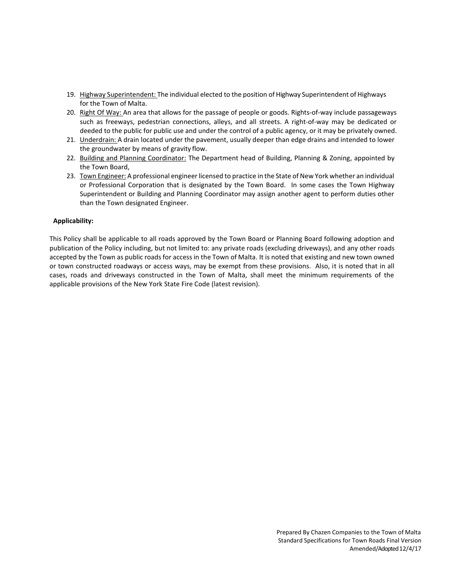- 19. Highway Superintendent: The individual elected to the position of Highway Superintendent of Highways for the Town of Malta.
- 20. Right Of Way: An area that allows for the passage of people or goods. Rights‐of‐way include passageways such as freeways, pedestrian connections, alleys, and all streets. A right‐of‐way may be dedicated or deeded to the public for public use and under the control of a public agency, or it may be privately owned.
- 21. Underdrain: A drain located under the pavement, usually deeper than edge drains and intended to lower the groundwater by means of gravity flow.
- 22. Building and Planning Coordinator: The Department head of Building, Planning & Zoning, appointed by the Town Board,
- 23. Town Engineer: A professional engineer licensed to practice in the State of New York whether an individual or Professional Corporation that is designated by the Town Board. In some cases the Town Highway Superintendent or Building and Planning Coordinator may assign another agent to perform duties other than the Town designated Engineer.

### **Applicability:**

This Policy shall be applicable to all roads approved by the Town Board or Planning Board following adoption and publication of the Policy including, but not limited to: any private roads (excluding driveways), and any other roads accepted by the Town as public roads for access in the Town of Malta. It is noted that existing and new town owned or town constructed roadways or access ways, may be exempt from these provisions. Also, it is noted that in all cases, roads and driveways constructed in the Town of Malta, shall meet the minimum requirements of the applicable provisions of the New York State Fire Code (latest revision).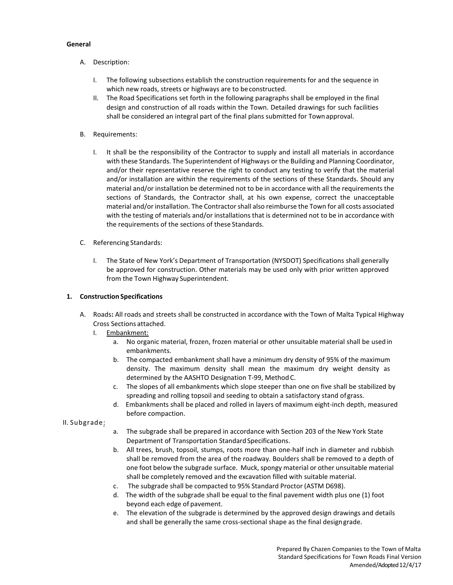#### **General**

- A. Description:
	- I. The following subsections establish the construction requirements for and the sequence in which new roads, streets or highways are to be constructed.
	- II. The Road Specifications set forth in the following paragraphs shall be employed in the final design and construction of all roads within the Town. Detailed drawings for such facilities shall be considered an integral part of the final plans submitted for Townapproval.
- B. Requirements:
	- I. It shall be the responsibility of the Contractor to supply and install all materials in accordance with these Standards. The Superintendent of Highways or the Building and Planning Coordinator, and/or their representative reserve the right to conduct any testing to verify that the material and/or installation are within the requirements of the sections of these Standards. Should any material and/or installation be determined not to be in accordance with all the requirements the sections of Standards, the Contractor shall, at his own expense, correct the unacceptable material and/or installation. The Contractor shall also reimburse the Town for all costs associated with the testing of materials and/or installations that is determined not to be in accordance with the requirements of the sections of these Standards.
- C. Referencing Standards:
	- I. The State of New York's Department of Transportation (NYSDOT) Specifications shall generally be approved for construction. Other materials may be used only with prior written approved from the Town Highway Superintendent.

### **1. Construction Specifications**

- A. Roads**:** All roads and streets shall be constructed in accordance with the Town of Malta Typical Highway Cross Sections attached.
	- I. Embankment:
		- a. No organic material, frozen, frozen material or other unsuitable material shall be used in embankments.
		- b. The compacted embankment shall have a minimum dry density of 95% of the maximum density. The maximum density shall mean the maximum dry weight density as determined by the AASHTO Designation T‐99, Method C.
		- c. The slopes of all embankments which slope steeper than one on five shall be stabilized by spreading and rolling topsoil and seeding to obtain a satisfactory stand ofgrass.
		- d. Embankments shall be placed and rolled in layers of maximum eight‐inch depth, measured before compaction.

### II. Subgrade:

- a. The subgrade shall be prepared in accordance with Section 203 of the New York State Department of Transportation Standard Specifications.
- b. All trees, brush, topsoil, stumps, roots more than one‐half inch in diameter and rubbish shall be removed from the area of the roadway. Boulders shall be removed to a depth of one foot below the subgrade surface. Muck, spongy material or other unsuitable material shall be completely removed and the excavation filled with suitable material.
- c. The subgrade shall be compacted to 95% Standard Proctor (ASTM D698).
- d. The width of the subgrade shall be equal to the final pavement width plus one (1) foot beyond each edge of pavement.
- e. The elevation of the subgrade is determined by the approved design drawings and details and shall be generally the same cross-sectional shape as the final designgrade.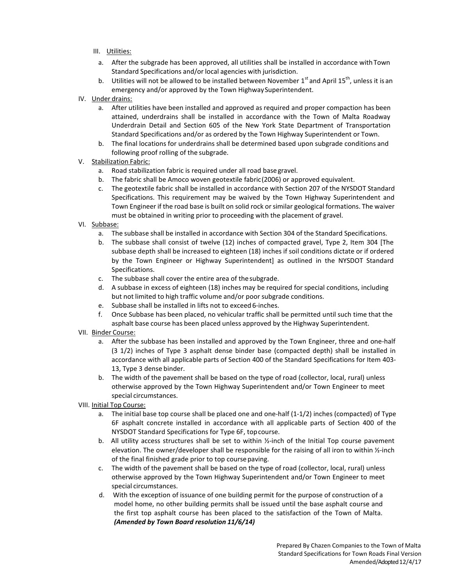- III. Utilities:
	- a. After the subgrade has been approved, all utilities shall be installed in accordance withTown Standard Specifications and/or local agencies with jurisdiction.
	- b. Utilities will not be allowed to be installed between November  $1<sup>st</sup>$  and April  $15<sup>th</sup>$ , unless it is an emergency and/or approved by the Town Highway Superintendent.
- IV. Under drains:
	- a. After utilities have been installed and approved as required and proper compaction has been attained, underdrains shall be installed in accordance with the Town of Malta Roadway Underdrain Detail and Section 605 of the New York State Department of Transportation Standard Specifications and/or as ordered by the Town Highway Superintendent or Town.
	- b. The final locations for underdrains shall be determined based upon subgrade conditions and following proof rolling of the subgrade.
- V. Stabilization Fabric:
	- a. Road stabilization fabric is required under all road basegravel.
	- b. The fabric shall be Amoco woven geotextile fabric(2006) or approved equivalent.
	- c. The geotextile fabric shall be installed in accordance with Section 207 of the NYSDOT Standard Specifications. This requirement may be waived by the Town Highway Superintendent and Town Engineer if the road base is built on solid rock or similar geological formations. The waiver must be obtained in writing prior to proceeding with the placement of gravel.
- VI. Subbase:
	- a. The subbase shall be installed in accordance with Section 304 of the Standard Specifications.
	- b. The subbase shall consist of twelve (12) inches of compacted gravel, Type 2, Item 304 [The subbase depth shall be increased to eighteen (18) inches if soil conditions dictate or if ordered by the Town Engineer or Highway Superintendent] as outlined in the NYSDOT Standard Specifications.
	- c. The subbase shall cover the entire area of thesubgrade.
	- d. A subbase in excess of eighteen (18) inches may be required for special conditions, including but not limited to high traffic volume and/or poor subgrade conditions.
	- e. Subbase shall be installed in lifts not to exceed 6‐inches.
	- f. Once Subbase has been placed, no vehicular traffic shall be permitted until such time that the asphalt base course has been placed unless approved by the Highway Superintendent.
- VII. Binder Course:
	- a. After the subbase has been installed and approved by the Town Engineer, three and one-half (3 1/2) inches of Type 3 asphalt dense binder base (compacted depth) shall be installed in accordance with all applicable parts of Section 400 of the Standard Specifications for Item 403‐ 13, Type 3 dense binder.
	- b. The width of the pavement shall be based on the type of road (collector, local, rural) unless otherwise approved by the Town Highway Superintendent and/or Town Engineer to meet special circumstances.
- VIII. Initial Top Course:
	- a. The initial base top course shall be placed one and one-half (1-1/2) inches (compacted) of Type 6F asphalt concrete installed in accordance with all applicable parts of Section 400 of the NYSDOT Standard Specifications for Type 6F, topcourse.
	- b. All utility access structures shall be set to within  $\frac{1}{2}$ -inch of the Initial Top course pavement elevation. The owner/developer shall be responsible for the raising of all iron to within ½‐inch of the final finished grade prior to top course paving.
	- c. The width of the pavement shall be based on the type of road (collector, local, rural) unless otherwise approved by the Town Highway Superintendent and/or Town Engineer to meet special circumstances.
	- d. With the exception of issuance of one building permit for the purpose of construction of a model home, no other building permits shall be issued until the base asphalt course and the first top asphalt course has been placed to the satisfaction of the Town of Malta. *(Amended by Town Board resolution 11/6/14)*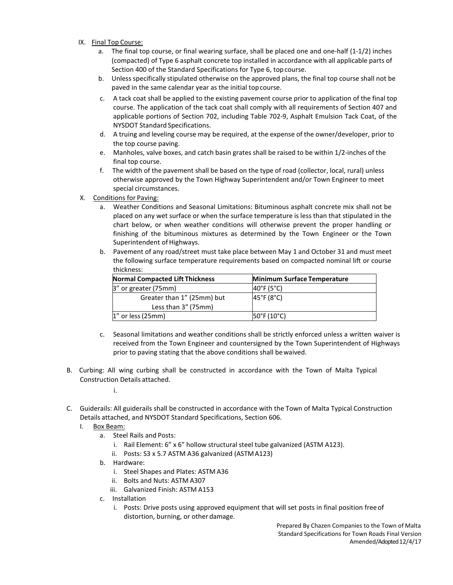- IX. Final Top Course:
	- a. The final top course, or final wearing surface, shall be placed one and one-half (1-1/2) inches (compacted) of Type 6 asphalt concrete top installed in accordance with all applicable parts of Section 400 of the Standard Specifications for Type 6, topcourse.
	- b. Unless specifically stipulated otherwise on the approved plans, the final top course shall not be paved in the same calendar year as the initial topcourse.
	- c. A tack coat shall be applied to the existing pavement course prior to application of the final top course. The application of the tack coat shall comply with all requirements of Section 407 and applicable portions of Section 702, including Table 702‐9, Asphalt Emulsion Tack Coat, of the NYSDOT Standard Specifications.
	- d. A truing and leveling course may be required, at the expense of the owner/developer, prior to the top course paving.
	- e. Manholes, valve boxes, and catch basin grates shall be raised to be within 1/2‐inches of the final top course.
	- f. The width of the pavement shall be based on the type of road (collector, local, rural) unless otherwise approved by the Town Highway Superintendent and/or Town Engineer to meet special circumstances.
- X. Conditions for Paving:
	- a. Weather Conditions and Seasonal Limitations: Bituminous asphalt concrete mix shall not be placed on any wet surface or when the surface temperature is less than that stipulated in the chart below, or when weather conditions will otherwise prevent the proper handling or finishing of the bituminous mixtures as determined by the Town Engineer or the Town Superintendent of Highways.
	- b. Pavement of any road/street must take place between May 1 and October 31 and must meet the following surface temperature requirements based on compacted nominal lift or course thickness:

| Normal Compacted Lift Thickness | <b>Minimum Surface Temperature</b> |
|---------------------------------|------------------------------------|
| 3" or greater (75mm)            | $ 40^{\circ}F(5^{\circ}C) $        |
| Greater than 1" (25mm) but      | $45^{\circ}$ F (8°C)               |
| Less than 3" (75mm)             |                                    |
| $1''$ or less (25mm)            | $ 50^{\circ}$ F (10 $^{\circ}$ C)  |

- c. Seasonal limitations and weather conditions shall be strictly enforced unless a written waiver is received from the Town Engineer and countersigned by the Town Superintendent of Highways prior to paving stating that the above conditions shall bewaived.
- B. Curbing: All wing curbing shall be constructed in accordance with the Town of Malta Typical Construction Details attached.

i.

- C. Guiderails: All guiderails shall be constructed in accordance with the Town of Malta Typical Construction Details attached, and NYSDOT Standard Specifications, Section 606.
	- I. Box Beam:
		- a. Steel Rails and Posts:
			- i. Rail Element: 6" x 6" hollow structural steel tube galvanized (ASTM A123).
			- ii. Posts: S3 x 5.7 ASTM A36 galvanized (ASTMA123)
		- b. Hardware:
			- i. Steel Shapes and Plates: ASTM A36
			- ii. Bolts and Nuts: ASTM A307
			- iii. Galvanized Finish: ASTM A153
		- c. Installation
			- i. Posts: Drive posts using approved equipment that will set posts in final position freeof distortion, burning, or other damage.

 Prepared By Chazen Companies to the Town of Malta Standard Specifications for Town Roads Final Version Amended/Adopted 12/4/17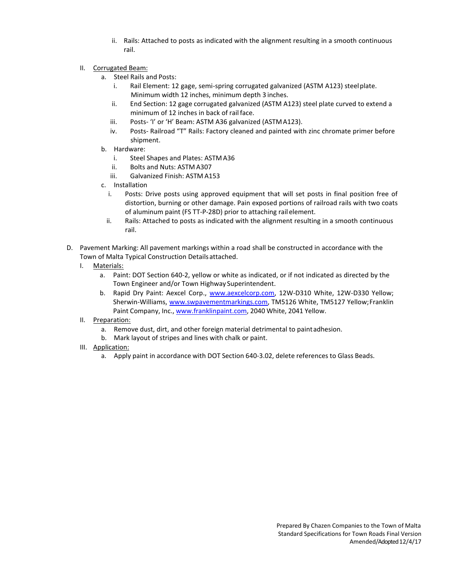- ii. Rails: Attached to posts as indicated with the alignment resulting in a smooth continuous rail.
- II. Corrugated Beam:
	- a. Steel Rails and Posts:
		- i. Rail Element: 12 gage, semi‐spring corrugated galvanized (ASTM A123) steelplate. Minimum width 12 inches, minimum depth 3 inches.
		- ii. End Section: 12 gage corrugated galvanized (ASTM A123) steel plate curved to extend a minimum of 12 inches in back of railface.
		- iii. Posts‐ 'I' or 'H' Beam: ASTM A36 galvanized (ASTMA123).
		- iv. Posts‐ Railroad "T" Rails: Factory cleaned and painted with zinc chromate primer before shipment.
	- b. Hardware:
		- i. Steel Shapes and Plates: ASTM A36
		- ii. Bolts and Nuts: ASTM A307
		- iii. Galvanized Finish: ASTM A153
	- c. Installation
		- i. Posts: Drive posts using approved equipment that will set posts in final position free of distortion, burning or other damage. Pain exposed portions of railroad rails with two coats of aluminum paint (FS TT‐P‐28D) prior to attaching rail element.
	- ii. Rails: Attached to posts as indicated with the alignment resulting in a smooth continuous rail.
- D. Pavement Marking: All pavement markings within a road shall be constructed in accordance with the Town of Malta Typical Construction Detailsattached.
	- I. Materials:
		- a. Paint: DOT Section 640‐2, yellow or white as indicated, or if not indicated as directed by the Town Engineer and/or Town Highway Superintendent.
		- b. Rapid Dry Paint: Aexcel Corp., [www.aexcelcorp.com,](http://www.aexcelcorp.com/) 12W-D310 White, 12W-D330 Yellow; Sherwin‐Williams, [www.swpavementmarkings.com,](http://www.swpavementmarkings.com/) TM5126 White, TM5127 Yellow;Franklin Paint Company, Inc., [www.franklinpaint.com,](http://www.franklinpaint.com/) 2040 White, 2041 Yellow.
	- II. Preparation:
		- a. Remove dust, dirt, and other foreign material detrimental to paintadhesion.
		- b. Mark layout of stripes and lines with chalk or paint.
	- III. Application:
		- a. Apply paint in accordance with DOT Section 640‐3.02, delete references to Glass Beads.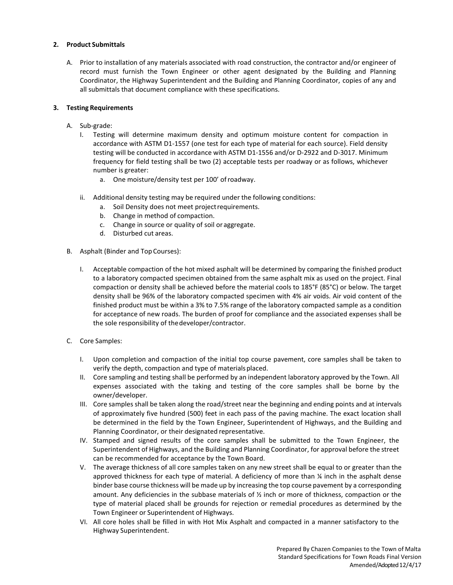### **2. Product Submittals**

A. Prior to installation of any materials associated with road construction, the contractor and/or engineer of record must furnish the Town Engineer or other agent designated by the Building and Planning Coordinator, the Highway Superintendent and the Building and Planning Coordinator, copies of any and all submittals that document compliance with these specifications.

## **3. Testing Requirements**

- A. Sub‐grade:
	- I. Testing will determine maximum density and optimum moisture content for compaction in accordance with ASTM D1‐1557 (one test for each type of material for each source). Field density testing will be conducted in accordance with ASTM D1‐1556 and/or D‐2922 and D‐3017. Minimum frequency for field testing shall be two (2) acceptable tests per roadway or as follows, whichever number is greater:
		- a. One moisture/density test per 100' ofroadway.
	- ii. Additional density testing may be required under the following conditions:
		- a. Soil Density does not meet projectrequirements.
		- b. Change in method of compaction.
		- c. Change in source or quality of soil or aggregate.
		- d. Disturbed cut areas.
- B. Asphalt (Binder and Top Courses):
	- I. Acceptable compaction of the hot mixed asphalt will be determined by comparing the finished product to a laboratory compacted specimen obtained from the same asphalt mix as used on the project. Final compaction or density shall be achieved before the material cools to 185°F (85°C) or below. The target density shall be 96% of the laboratory compacted specimen with 4% air voids. Air void content of the finished product must be within a 3% to 7.5% range of the laboratory compacted sample as a condition for acceptance of new roads. The burden of proof for compliance and the associated expenses shall be the sole responsibility of thedeveloper/contractor.

### C. Core Samples:

- I. Upon completion and compaction of the initial top course pavement, core samples shall be taken to verify the depth, compaction and type of materialsplaced.
- II. Core sampling and testing shall be performed by an independent laboratory approved by the Town. All expenses associated with the taking and testing of the core samples shall be borne by the owner/developer.
- III. Core samples shall be taken along the road/street near the beginning and ending points and at intervals of approximately five hundred (500) feet in each pass of the paving machine. The exact location shall be determined in the field by the Town Engineer, Superintendent of Highways, and the Building and Planning Coordinator, or their designated representative.
- IV. Stamped and signed results of the core samples shall be submitted to the Town Engineer, the Superintendent of Highways, and the Building and Planning Coordinator, for approval before the street can be recommended for acceptance by the Town Board.
- V. The average thickness of all core samples taken on any new street shall be equal to or greater than the approved thickness for each type of material. A deficiency of more than % inch in the asphalt dense binder base course thickness will be made up by increasing the top course pavement by a corresponding amount. Any deficiencies in the subbase materials of  $\frac{1}{2}$  inch or more of thickness, compaction or the type of material placed shall be grounds for rejection or remedial procedures as determined by the Town Engineer or Superintendent of Highways.
- VI. All core holes shall be filled in with Hot Mix Asphalt and compacted in a manner satisfactory to the Highway Superintendent.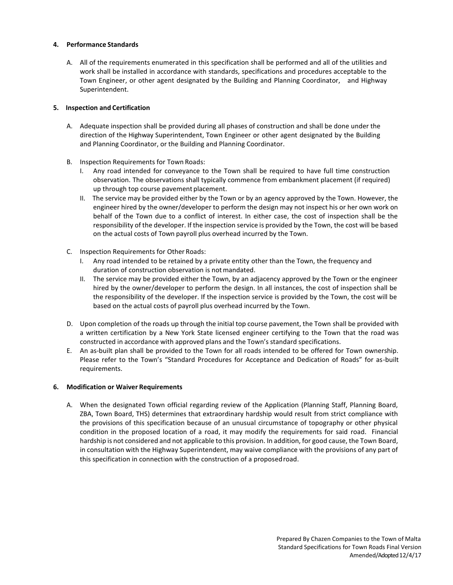#### **4. Performance Standards**

A. All of the requirements enumerated in this specification shall be performed and all of the utilities and work shall be installed in accordance with standards, specifications and procedures acceptable to the Town Engineer, or other agent designated by the Building and Planning Coordinator, and Highway Superintendent.

### **5. Inspection and Certification**

- A. Adequate inspection shall be provided during all phases of construction and shall be done under the direction of the Highway Superintendent, Town Engineer or other agent designated by the Building and Planning Coordinator, or the Building and Planning Coordinator.
- B. Inspection Requirements for Town Roads:
	- I. Any road intended for conveyance to the Town shall be required to have full time construction observation. The observations shall typically commence from embankment placement (if required) up through top course pavement placement.
	- II. The service may be provided either by the Town or by an agency approved by the Town. However, the engineer hired by the owner/developer to perform the design may not inspect his or her own work on behalf of the Town due to a conflict of interest. In either case, the cost of inspection shall be the responsibility of the developer. If the inspection service is provided by the Town, the cost will be based on the actual costs of Town payroll plus overhead incurred by the Town.
- C. Inspection Requirements for Other Roads:
	- I. Any road intended to be retained by a private entity other than the Town, the frequency and duration of construction observation is notmandated.
	- II. The service may be provided either the Town, by an adjacency approved by the Town or the engineer hired by the owner/developer to perform the design. In all instances, the cost of inspection shall be the responsibility of the developer. If the inspection service is provided by the Town, the cost will be based on the actual costs of payroll plus overhead incurred by the Town.
- D. Upon completion of the roads up through the initial top course pavement, the Town shall be provided with a written certification by a New York State licensed engineer certifying to the Town that the road was constructed in accordance with approved plans and the Town's standard specifications.
- E. An as-built plan shall be provided to the Town for all roads intended to be offered for Town ownership. Please refer to the Town's "Standard Procedures for Acceptance and Dedication of Roads" for as-built requirements.

#### **6. Modification or Waiver Requirements**

A. When the designated Town official regarding review of the Application (Planning Staff, Planning Board, ZBA, Town Board, THS) determines that extraordinary hardship would result from strict compliance with the provisions of this specification because of an unusual circumstance of topography or other physical condition in the proposed location of a road, it may modify the requirements for said road. Financial hardship is not considered and not applicable to this provision. In addition, for good cause, the Town Board, in consultation with the Highway Superintendent, may waive compliance with the provisions of any part of this specification in connection with the construction of a proposedroad.